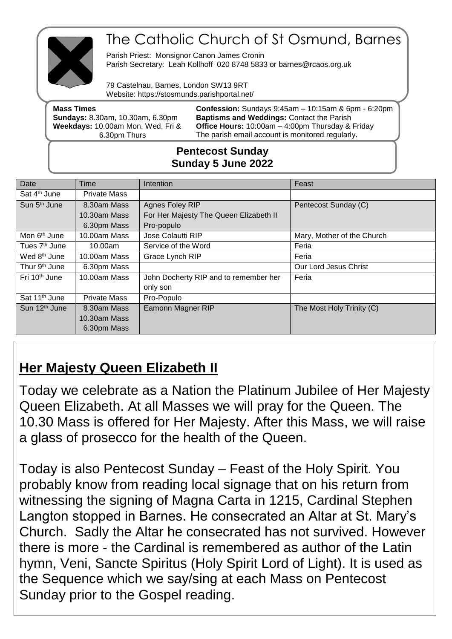

# The Catholic Church of St Osmund, Barnes

Parish Priest: Monsignor Canon James Cronin Parish Secretary: Leah Kollhoff 020 8748 5833 or barnes@rcaos.org.uk

79 Castelnau, Barnes, London SW13 9RT Website: https://stosmunds.parishportal.net/

| <b>Mass Times</b><br><b>Sundays: 8.30am, 10.30am, 6.30pm</b> | <b>Confession:</b> Sundays $9:45am - 10:15am$ & $6pm - 6:20pm$<br><b>Baptisms and Weddings: Contact the Parish</b> |  |
|--------------------------------------------------------------|--------------------------------------------------------------------------------------------------------------------|--|
| Weekdays: 10.00am Mon, Wed, Fri &                            | <b>Office Hours: 10:00am - 4:00pm Thursday &amp; Friday</b>                                                        |  |
| 6.30pm Thurs                                                 | The parish email account is monitored regularly.                                                                   |  |
|                                                              |                                                                                                                    |  |

### **Pentecost Sunday Sunday 5 June 2022**

| Date                      | Time                | <b>Intention</b>                       | Feast                      |
|---------------------------|---------------------|----------------------------------------|----------------------------|
| Sat 4 <sup>th</sup> June  | <b>Private Mass</b> |                                        |                            |
| Sun 5 <sup>th</sup> June  | 8.30am Mass         | Agnes Foley RIP                        | Pentecost Sunday (C)       |
|                           | 10.30am Mass        | For Her Majesty The Queen Elizabeth II |                            |
|                           | 6.30pm Mass         | Pro-populo                             |                            |
| Mon 6 <sup>th</sup> June  | 10.00am Mass        | Jose Colautti RIP                      | Mary, Mother of the Church |
| Tues 7 <sup>th</sup> June | 10.00am             | Service of the Word                    | Feria                      |
| Wed 8 <sup>th</sup> June  | 10.00am Mass        | Grace Lynch RIP                        | Feria                      |
| Thur 9 <sup>th</sup> June | 6.30pm Mass         |                                        | Our Lord Jesus Christ      |
| Fri 10 <sup>th</sup> June | 10.00am Mass        | John Docherty RIP and to remember her  | Feria                      |
|                           |                     | only son                               |                            |
| Sat 11 <sup>th</sup> June | <b>Private Mass</b> | Pro-Populo                             |                            |
| Sun 12 <sup>th</sup> June | 8.30am Mass         | <b>Eamonn Magner RIP</b>               | The Most Holy Trinity (C)  |
|                           | 10.30am Mass        |                                        |                            |
|                           | 6.30pm Mass         |                                        |                            |

## **Her Majesty Queen Elizabeth II**

Today we celebrate as a Nation the Platinum Jubilee of Her Majesty Queen Elizabeth. At all Masses we will pray for the Queen. The 10.30 Mass is offered for Her Majesty. After this Mass, we will raise a glass of prosecco for the health of the Queen.

Today is also Pentecost Sunday – Feast of the Holy Spirit. You probably know from reading local signage that on his return from witnessing the signing of Magna Carta in 1215, Cardinal Stephen Langton stopped in Barnes. He consecrated an Altar at St. Mary's Church. Sadly the Altar he consecrated has not survived. However there is more - the Cardinal is remembered as author of the Latin hymn, Veni, Sancte Spiritus (Holy Spirit Lord of Light). It is used as the Sequence which we say/sing at each Mass on Pentecost Sunday prior to the Gospel reading.